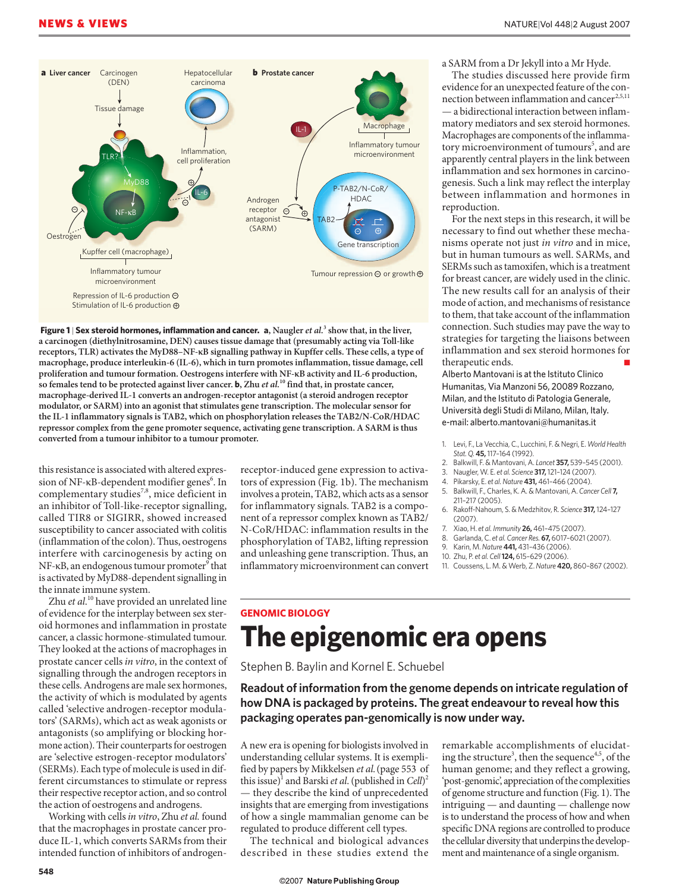

 **Figure 1 | Sex steroid hormones, inflammation and cancer.** a, Naugler *et al.*<sup>3</sup> show that, in the liver, **a carcinogen (diethylnitrosamine, DEN) causes tissue damage that (presumably acting via Toll-like receptors, TLR) activates the MyD88–NF-κB signalling pathway in Kupffer cells. These cells, a type of macrophage, produce interleukin-6 (IL-6), which in turn promotes inflammation, tissue damage, cell proliferation and tumour formation. Oestrogens interfere with NF-κB activity and IL-6 production, so females tend to be protected against liver cancer. b, Zhu** *et al.***10 find that, in prostate cancer, macrophage-derived IL-1 converts an androgen-receptor antagonist (a steroid androgen receptor modulator, or SARM) into an agonist that stimulates gene transcription. The molecular sensor for the IL-1 inflammatory signals is TAB2, which on phosphorylation releases the TAB2/N-CoR/HDAC repressor complex from the gene promoter sequence, activating gene transcription. A SARM is thus converted from a tumour inhibitor to a tumour promoter.** 

this resistance is associated with altered expression of NF-κB-dependent modifier genes<sup>6</sup>. In complementary studies<sup>7,8</sup>, mice deficient in an inhibitor of Toll-like-receptor signalling, called TIR8 or SIGIRR, showed increased susceptibility to cancer associated with colitis (inflammation of the colon). Thus, oestrogens interfere with carcinogenesis by acting on NF-κB, an endogenous tumour promoter<sup>9</sup> that is activated by MyD88-dependent signalling in the innate immune system.

Zhu *et al*. 10 have provided an unrelated line of evidence for the interplay between sex steroid hormones and inflammation in prostate cancer, a classic hormone-stimulated tumour. They looked at the actions of macrophages in prostate cancer cells *in vitro*, in the context of signalling through the androgen receptors in these cells. Androgens are male sex hormones, the activity of which is modulated by agents called 'selective androgen-receptor modulators' (SARMs), which act as weak agonists or antagonists (so amplifying or blocking hormone action). Their counterparts for oestrogen are 'selective estrogen-receptor modulators' (SERMs). Each type of molecule is used in different circumstances to stimulate or repress their respective receptor action, and so control the action of oestrogens and androgens.

Working with cells *in vitro*, Zhu *et al.* found that the macrophages in prostate cancer produce IL-1, which converts SARMs from their intended function of inhibitors of androgenreceptor-induced gene expression to activators of expression (Fig. 1b). The mechanism involves a protein, TAB2, which acts as a sensor for inflammatory signals. TAB2 is a component of a repressor complex known as TAB2/ N-CoR/HDAC: inflammation results in the phosphorylation of TAB2, lifting repression and unleashing gene transcription. Thus, an inflammatory microenvironment can convert

a SARM from a Dr Jekyll into a Mr Hyde.

The studies discussed here provide firm evidence for an unexpected feature of the connection between inflammation and cancer<sup>2,5,11</sup> — a bidirectional interaction between inflammatory mediators and sex steroid hormones. Macrophages are components of the inflammatory microenvironment of tumours<sup>5</sup>, and are apparently central players in the link between inflammation and sex hormones in carcinogenesis. Such a link may reflect the interplay between inflammation and hormones in reproduction.

For the next steps in this research, it will be necessary to find out whether these mechanisms operate not just *in vitro* and in mice, but in human tumours as well. SARMs, and SERMs such as tamoxifen, which is a treatment for breast cancer, are widely used in the clinic. The new results call for an analysis of their mode of action, and mechanisms of resistance to them, that take account of the inflammation connection. Such studies may pave the way to strategies for targeting the liaisons between inflammation and sex steroid hormones for therapeutic ends.

Alberto Mantovani is at the Istituto Clinico Humanitas, Via Manzoni 56, 20089 Rozzano, Milan, and the Istituto di Patologia Generale, Università degli Studi di Milano, Milan, Italy. e-mail: alberto.mantovani@humanitas.it

- 1. Levi, F., La Vecchia, C., Lucchini, F. & Negri, E. *World Health Stat. Q.* **45,** 117–164 (1992).
- 2. Balkwill, F. & Mantovani, A. *Lancet* **357,** 539–545 (2001).
- 3. Naugler, W. E. *et al. Science* **317,** 121–124 (2007).
- 4. Pikarsky, E. *et al.Nature* **431,** 461–466 (2004).
- 5. Balkwill, F., Charles, K. A. & Mantovani, A. *Cancer Cell* **7,** 211–217 (2005).
- 6. Rakoff-Nahoum, S. & Medzhitov, R. *Science* **317,** 124–127 (2007).
- 7. Xiao, H. *et al. Immunity* **26,** 461–475 (2007).
- 8. Garlanda, C. *et al. Cancer Res.* **67,** 6017–6021 (2007).
- 9. Karin, M. *Nature* **441,** 431–436 (2006).
- 10. Zhu, P. *et al. Cell***124,** 615–629 (2006).
- 11. Coussens, L. M. & Werb, Z. *Nature* **420,** 860–867 (2002).

## **GENOMIC BIOLOGY The epigenomic era opens**

Stephen B. Baylin and Kornel E. Schuebel

## **Readout of information from the genome depends on intricate regulation of how DNA is packaged by proteins. The great endeavour to reveal how this packaging operates pan-genomically is now under way.**

A new era is opening for biologists involved in understanding cellular systems. It is exemplified by papers by Mikkelsen *et al.*(page 553 of this issue)<sup>1</sup> and Barski et al. (published in Cell)<sup>2</sup> — they describe the kind of unprecedented insights that are emerging from investigations of how a single mammalian genome can be regulated to produce different cell types.

The technical and biological advances described in these studies extend the

remarkable accomplishments of elucidating the structure<sup>3</sup>, then the sequence<sup>4,5</sup>, of the human genome; and they reflect a growing, 'post-genomic', appreciation of the complexities of genome structure and function (Fig. 1). The intriguing — and daunting — challenge now is to understand the process of how and when specific DNA regions are controlled to produce the cellular diversity that underpins the development and maintenance of a single organism.